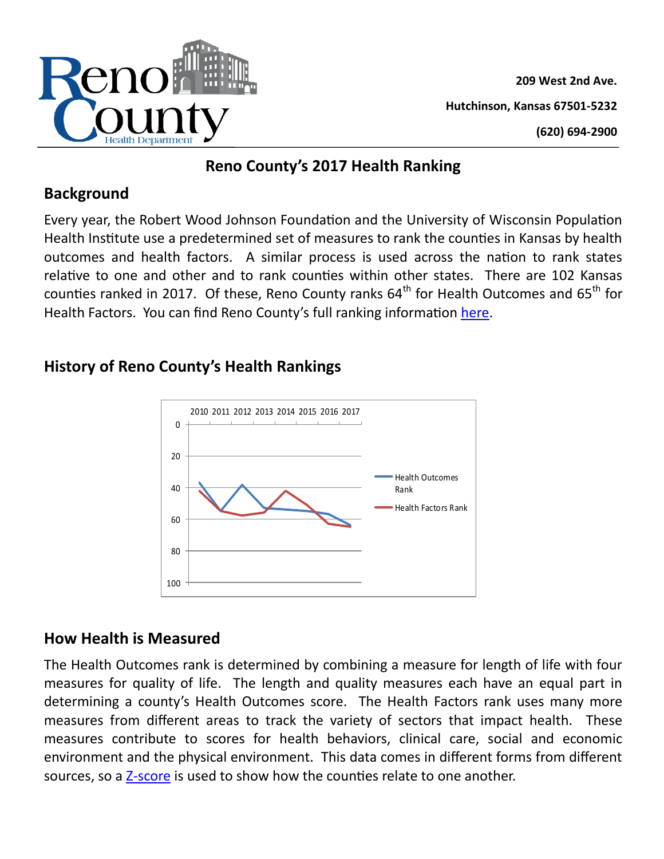

**209 West 2nd Ave. Hutchinson, Kansas 67501-5232 (620) 694-2900**

## **Reno County's 2017 Health Ranking**

### **Background**

Every year, the Robert Wood Johnson Foundation and the University of Wisconsin Population Health Institute use a predetermined set of measures to rank the counties in Kansas by health outcomes and health factors. A similar process is used across the nation to rank states relative to one and other and to rank counties within other states. There are 102 Kansas counties ranked in 2017. Of these, Reno County ranks  $64<sup>th</sup>$  for Health Outcomes and  $65<sup>th</sup>$  for Health Factors. You can find Reno County's full ranking information [here.](http://www.countyhealthrankings.org/app/kansas/2017/rankings/reno/county/outcomes/overall/snapshot)

# **History of Reno County's Health Rankings**



# **How Health is Measured**

The Health Outcomes rank is determined by combining a measure for length of life with four measures for quality of life. The length and quality measures each have an equal part in determining a county's Health Outcomes score. The Health Factors rank uses many more measures from different areas to track the variety of sectors that impact health. These measures contribute to scores for health behaviors, clinical care, social and economic environment and the physical environment. This data comes in different forms from different sources, so a Z-[score](http://www.countyhealthrankings.org/ranking-methods/calculating-scores-and-ranks) is used to show how the counties relate to one another.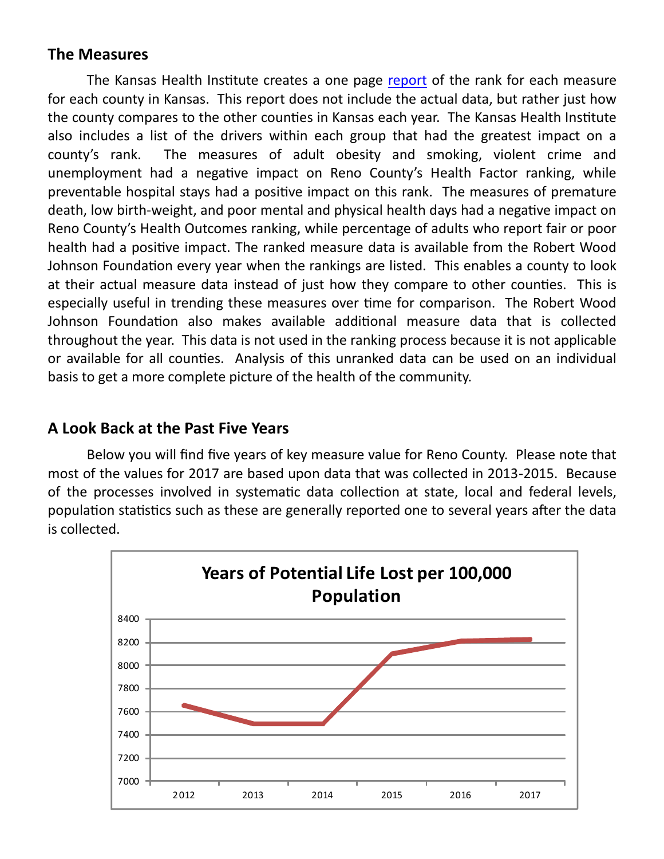#### **The Measures**

The Kansas Health Institute creates a one page [report](http://www.khi.org/assets/uploads/news/14750/reno_chr_2017.pdf) of the rank for each measure for each county in Kansas. This report does not include the actual data, but rather just how the county compares to the other counties in Kansas each year. The Kansas Health Institute also includes a list of the drivers within each group that had the greatest impact on a county's rank. The measures of adult obesity and smoking, violent crime and unemployment had a negative impact on Reno County's Health Factor ranking, while preventable hospital stays had a positive impact on this rank. The measures of premature death, low birth-weight, and poor mental and physical health days had a negative impact on Reno County's Health Outcomes ranking, while percentage of adults who report fair or poor health had a positive impact. The ranked measure data is available from the Robert Wood Johnson Foundation every year when the rankings are listed. This enables a county to look at their actual measure data instead of just how they compare to other counties. This is especially useful in trending these measures over time for comparison. The Robert Wood Johnson Foundation also makes available additional measure data that is collected throughout the year. This data is not used in the ranking process because it is not applicable or available for all counties. Analysis of this unranked data can be used on an individual basis to get a more complete picture of the health of the community.

### **A Look Back at the Past Five Years**

Below you will find five years of key measure value for Reno County. Please note that most of the values for 2017 are based upon data that was collected in 2013-2015. Because of the processes involved in systematic data collection at state, local and federal levels, population statistics such as these are generally reported one to several years after the data is collected.

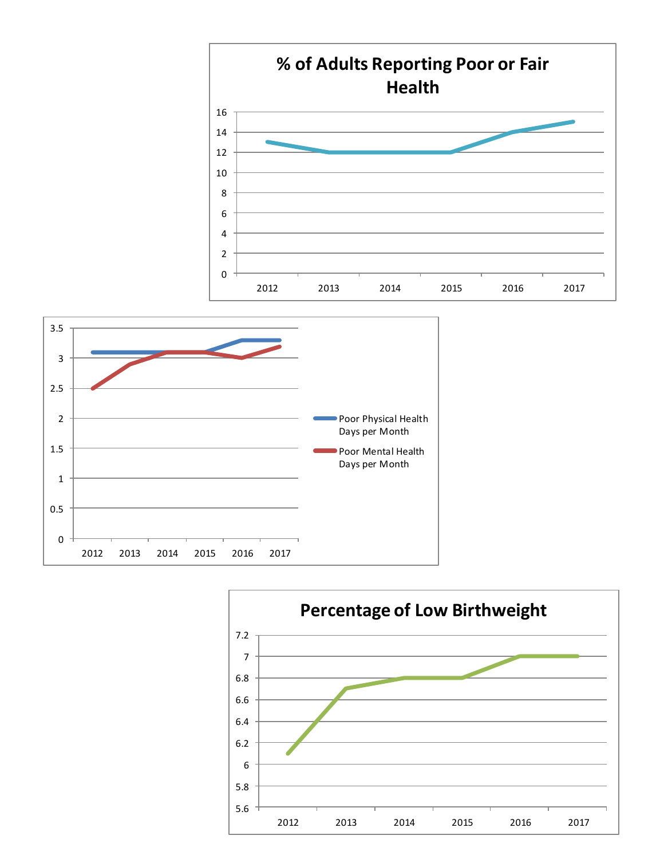



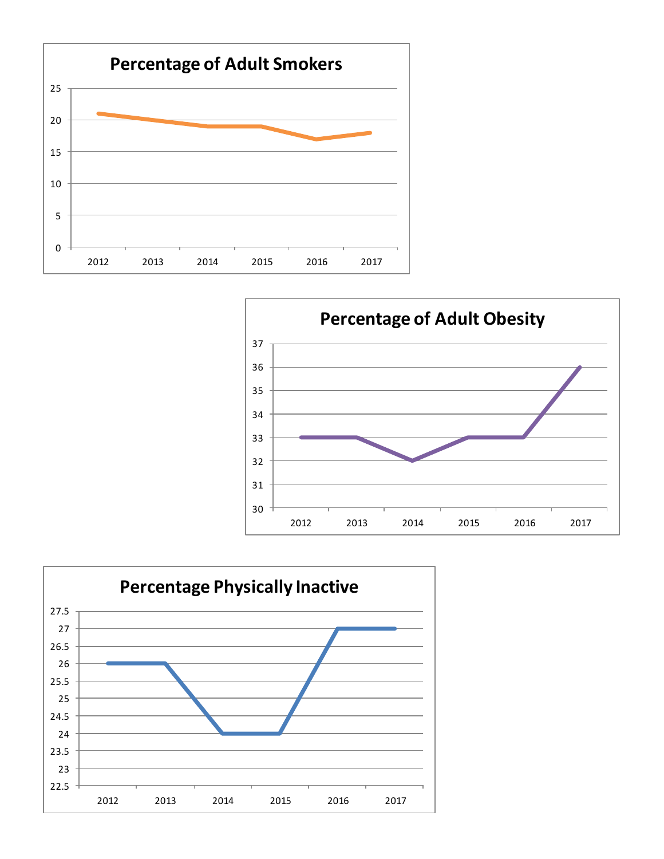